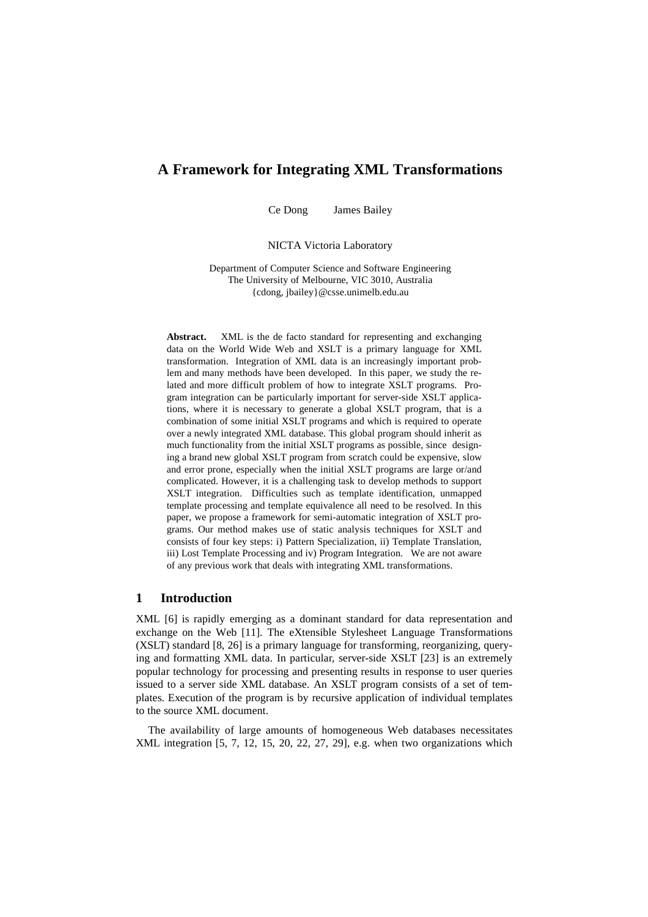# **A Framework for Integrating XML Transformations**

Ce Dong James Bailey

NICTA Victoria Laboratory

Department of Computer Science and Software Engineering The University of Melbourne, VIC 3010, Australia {cdong, jbailey}@csse.unimelb.edu.au

**Abstract.** XML is the de facto standard for representing and exchanging data on the World Wide Web and XSLT is a primary language for XML transformation. Integration of XML data is an increasingly important problem and many methods have been developed. In this paper, we study the related and more difficult problem of how to integrate XSLT programs. Program integration can be particularly important for server-side XSLT applications, where it is necessary to generate a global XSLT program, that is a combination of some initial XSLT programs and which is required to operate over a newly integrated XML database. This global program should inherit as much functionality from the initial XSLT programs as possible, since designing a brand new global XSLT program from scratch could be expensive, slow and error prone, especially when the initial XSLT programs are large or/and complicated. However, it is a challenging task to develop methods to support XSLT integration. Difficulties such as template identification, unmapped template processing and template equivalence all need to be resolved. In this paper, we propose a framework for semi-automatic integration of XSLT programs. Our method makes use of static analysis techniques for XSLT and consists of four key steps: i) Pattern Specialization, ii) Template Translation, iii) Lost Template Processing and iv) Program Integration. We are not aware of any previous work that deals with integrating XML transformations.

### **1 Introduction**

XML [6] is rapidly emerging as a dominant standard for data representation and exchange on the Web [11]. The eXtensible Stylesheet Language Transformations (XSLT) standard [8, 26] is a primary language for transforming, reorganizing, querying and formatting XML data. In particular, server-side XSLT [23] is an extremely popular technology for processing and presenting results in response to user queries issued to a server side XML database. An XSLT program consists of a set of templates. Execution of the program is by recursive application of individual templates to the source XML document.

The availability of large amounts of homogeneous Web databases necessitates XML integration [5, 7, 12, 15, 20, 22, 27, 29], e.g. when two organizations which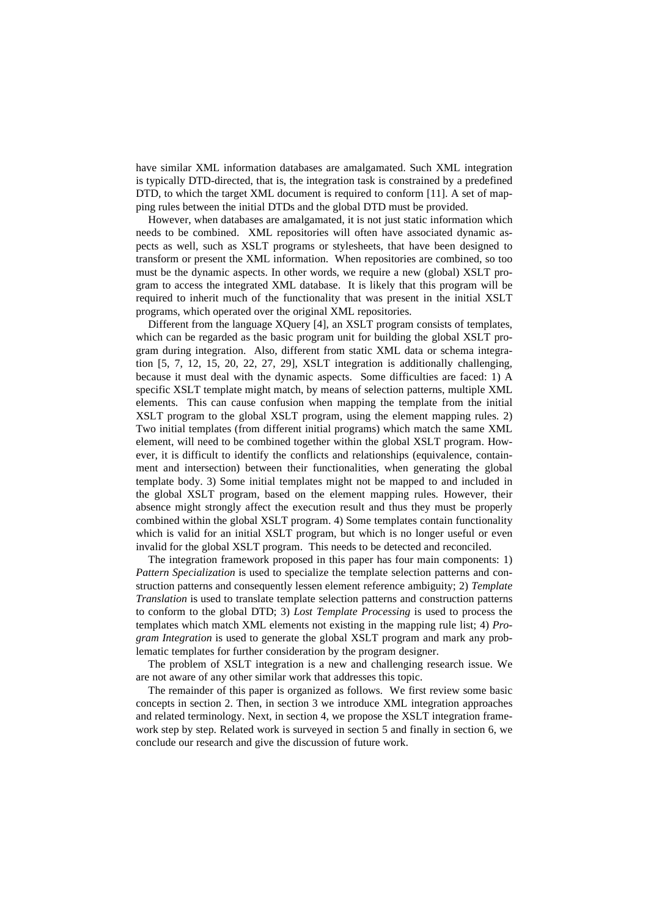have similar XML information databases are amalgamated. Such XML integration is typically DTD-directed, that is, the integration task is constrained by a predefined DTD, to which the target XML document is required to conform [11]. A set of mapping rules between the initial DTDs and the global DTD must be provided.

However, when databases are amalgamated, it is not just static information which needs to be combined. XML repositories will often have associated dynamic aspects as well, such as XSLT programs or stylesheets, that have been designed to transform or present the XML information. When repositories are combined, so too must be the dynamic aspects. In other words, we require a new (global) XSLT program to access the integrated XML database. It is likely that this program will be required to inherit much of the functionality that was present in the initial XSLT programs, which operated over the original XML repositories.

Different from the language XQuery [4], an XSLT program consists of templates, which can be regarded as the basic program unit for building the global XSLT program during integration. Also, different from static XML data or schema integration [5, 7, 12, 15, 20, 22, 27, 29], XSLT integration is additionally challenging, because it must deal with the dynamic aspects. Some difficulties are faced: 1) A specific XSLT template might match, by means of selection patterns, multiple XML elements. This can cause confusion when mapping the template from the initial XSLT program to the global XSLT program, using the element mapping rules. 2) Two initial templates (from different initial programs) which match the same XML element, will need to be combined together within the global XSLT program. However, it is difficult to identify the conflicts and relationships (equivalence, containment and intersection) between their functionalities, when generating the global template body. 3) Some initial templates might not be mapped to and included in the global XSLT program, based on the element mapping rules. However, their absence might strongly affect the execution result and thus they must be properly combined within the global XSLT program. 4) Some templates contain functionality which is valid for an initial XSLT program, but which is no longer useful or even invalid for the global XSLT program. This needs to be detected and reconciled.

The integration framework proposed in this paper has four main components: 1) *Pattern Specialization* is used to specialize the template selection patterns and construction patterns and consequently lessen element reference ambiguity; 2) *Template Translation* is used to translate template selection patterns and construction patterns to conform to the global DTD; 3) *Lost Template Processing* is used to process the templates which match XML elements not existing in the mapping rule list; 4) *Program Integration* is used to generate the global XSLT program and mark any problematic templates for further consideration by the program designer.

The problem of XSLT integration is a new and challenging research issue. We are not aware of any other similar work that addresses this topic.

The remainder of this paper is organized as follows. We first review some basic concepts in section 2. Then, in section 3 we introduce XML integration approaches and related terminology. Next, in section 4, we propose the XSLT integration framework step by step. Related work is surveyed in section 5 and finally in section 6, we conclude our research and give the discussion of future work.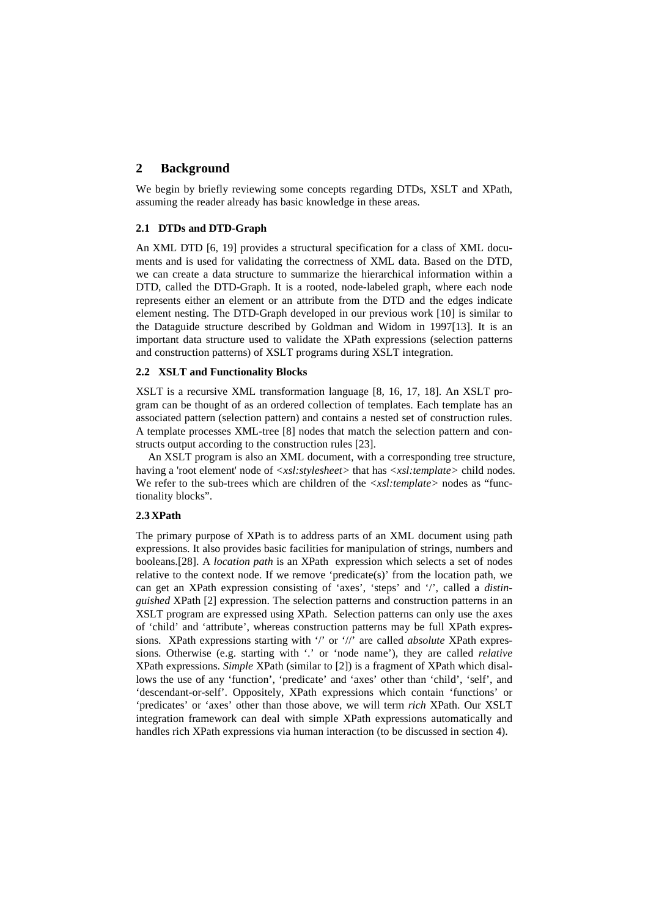# **2 Background**

We begin by briefly reviewing some concepts regarding DTDs, XSLT and XPath, assuming the reader already has basic knowledge in these areas.

### **2.1 DTDs and DTD-Graph**

An XML DTD [6, 19] provides a structural specification for a class of XML documents and is used for validating the correctness of XML data. Based on the DTD, we can create a data structure to summarize the hierarchical information within a DTD, called the DTD-Graph. It is a rooted, node-labeled graph, where each node represents either an element or an attribute from the DTD and the edges indicate element nesting. The DTD-Graph developed in our previous work [10] is similar to the Dataguide structure described by Goldman and Widom in 1997[13]. It is an important data structure used to validate the XPath expressions (selection patterns and construction patterns) of XSLT programs during XSLT integration.

### **2.2 XSLT and Functionality Blocks**

XSLT is a recursive XML transformation language [8, 16, 17, 18]. An XSLT program can be thought of as an ordered collection of templates. Each template has an associated pattern (selection pattern) and contains a nested set of construction rules. A template processes XML-tree [8] nodes that match the selection pattern and constructs output according to the construction rules [23].

An XSLT program is also an XML document, with a corresponding tree structure, having a 'root element' node of *<xsl:stylesheet>* that has *<xsl:template>* child nodes. We refer to the sub-trees which are children of the *<xsl:template>* nodes as "functionality blocks".

### **2.3 XPath**

The primary purpose of XPath is to address parts of an XML document using path expressions. It also provides basic facilities for manipulation of strings, numbers and booleans.[28]. A *location path* is an XPath expression which selects a set of nodes relative to the context node. If we remove 'predicate(s)' from the location path, we can get an XPath expression consisting of 'axes', 'steps' and '/', called a *distinguished* XPath [2] expression. The selection patterns and construction patterns in an XSLT program are expressed using XPath. Selection patterns can only use the axes of 'child' and 'attribute', whereas construction patterns may be full XPath expressions. XPath expressions starting with '/' or '//' are called *absolute* XPath expressions. Otherwise (e.g. starting with '.' or 'node name'), they are called *relative* XPath expressions. *Simple* XPath (similar to [2]) is a fragment of XPath which disallows the use of any 'function', 'predicate' and 'axes' other than 'child', 'self', and 'descendant-or-self'. Oppositely, XPath expressions which contain 'functions' or 'predicates' or 'axes' other than those above, we will term *rich* XPath. Our XSLT integration framework can deal with simple XPath expressions automatically and handles rich XPath expressions via human interaction (to be discussed in section 4).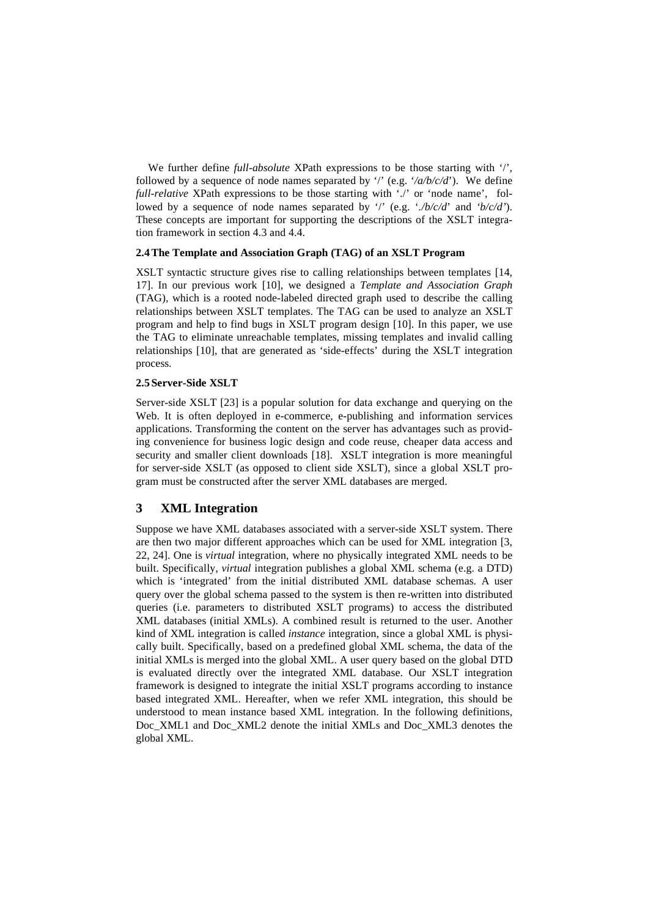We further define *full-absolute* XPath expressions to be those starting with '/', followed by a sequence of node names separated by '/' (e.g. '*/a/b/c/d*'). We define *full-relative* XPath expressions to be those starting with './' or 'node name', followed by a sequence of node names separated by '/' (e.g. '*./b/c/d*' and *'b/c/d'*). These concepts are important for supporting the descriptions of the XSLT integration framework in section 4.3 and 4.4.

### **2.4 The Template and Association Graph (TAG) of an XSLT Program**

XSLT syntactic structure gives rise to calling relationships between templates [14, 17]. In our previous work [10], we designed a *Template and Association Graph*  (TAG), which is a rooted node-labeled directed graph used to describe the calling relationships between XSLT templates. The TAG can be used to analyze an XSLT program and help to find bugs in XSLT program design [10]. In this paper, we use the TAG to eliminate unreachable templates, missing templates and invalid calling relationships [10], that are generated as 'side-effects' during the XSLT integration process.

# **2.5 Server-Side XSLT**

Server-side XSLT [23] is a popular solution for data exchange and querying on the Web. It is often deployed in e-commerce, e-publishing and information services applications. Transforming the content on the server has advantages such as providing convenience for business logic design and code reuse, cheaper data access and security and smaller client downloads [18]. XSLT integration is more meaningful for server-side XSLT (as opposed to client side XSLT), since a global XSLT program must be constructed after the server XML databases are merged.

# **3 XML Integration**

Suppose we have XML databases associated with a server-side XSLT system. There are then two major different approaches which can be used for XML integration [3, 22, 24]. One is *virtual* integration, where no physically integrated XML needs to be built. Specifically, *virtual* integration publishes a global XML schema (e.g. a DTD) which is 'integrated' from the initial distributed XML database schemas. A user query over the global schema passed to the system is then re-written into distributed queries (i.e. parameters to distributed XSLT programs) to access the distributed XML databases (initial XMLs). A combined result is returned to the user. Another kind of XML integration is called *instance* integration, since a global XML is physically built. Specifically, based on a predefined global XML schema, the data of the initial XMLs is merged into the global XML. A user query based on the global DTD is evaluated directly over the integrated XML database. Our XSLT integration framework is designed to integrate the initial XSLT programs according to instance based integrated XML. Hereafter, when we refer XML integration, this should be understood to mean instance based XML integration. In the following definitions, Doc\_XML1 and Doc\_XML2 denote the initial XMLs and Doc\_XML3 denotes the global XML.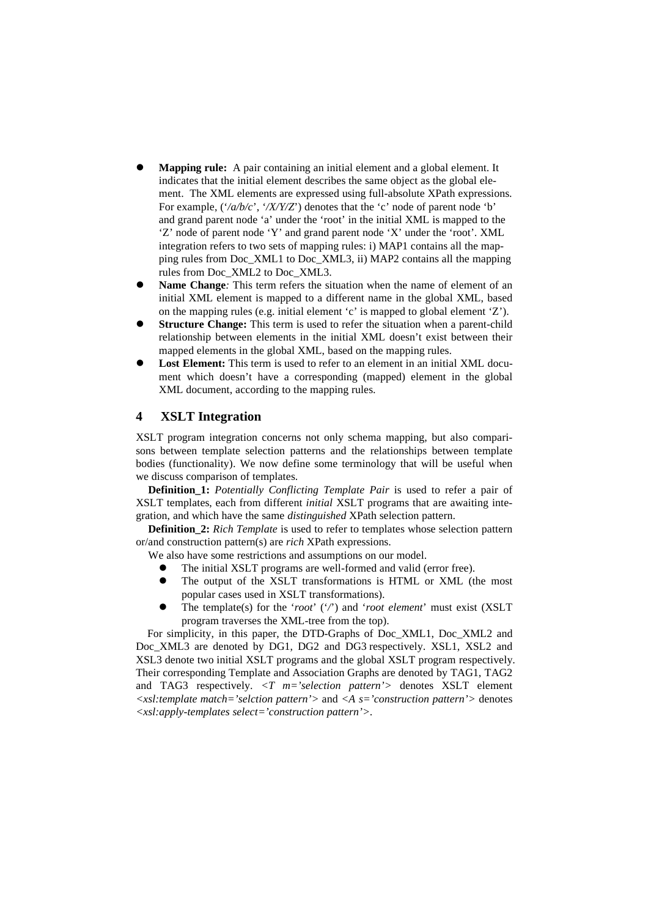- **Mapping rule:** A pair containing an initial element and a global element. It indicates that the initial element describes the same object as the global element. The XML elements are expressed using full-absolute XPath expressions. For example, ('*/a/b/c*', '*/X/Y/Z*') denotes that the 'c' node of parent node 'b' and grand parent node 'a' under the 'root' in the initial XML is mapped to the 'Z' node of parent node 'Y' and grand parent node 'X' under the 'root'. XML integration refers to two sets of mapping rules: i) MAP1 contains all the mapping rules from Doc\_XML1 to Doc\_XML3, ii) MAP2 contains all the mapping rules from Doc\_XML2 to Doc\_XML3.
- ! **Name Change***:* This term refers the situation when the name of element of an initial XML element is mapped to a different name in the global XML, based on the mapping rules (e.g. initial element 'c' is mapped to global element 'Z').
- **Structure Change:** This term is used to refer the situation when a parent-child relationship between elements in the initial XML doesn't exist between their mapped elements in the global XML, based on the mapping rules.
- Lost Element: This term is used to refer to an element in an initial XML document which doesn't have a corresponding (mapped) element in the global XML document, according to the mapping rules.

# **4 XSLT Integration**

XSLT program integration concerns not only schema mapping, but also comparisons between template selection patterns and the relationships between template bodies (functionality). We now define some terminology that will be useful when we discuss comparison of templates.

**Definition\_1:** *Potentially Conflicting Template Pair* is used to refer a pair of XSLT templates, each from different *initial* XSLT programs that are awaiting integration, and which have the same *distinguished* XPath selection pattern.

**Definition 2:** *Rich Template* is used to refer to templates whose selection pattern or/and construction pattern(s) are *rich* XPath expressions.

We also have some restrictions and assumptions on our model.

- ! The initial XSLT programs are well-formed and valid (error free).
- ! The output of the XSLT transformations is HTML or XML (the most popular cases used in XSLT transformations).
- ! The template(s) for the '*root*' ('*/*') and '*root element*' must exist (XSLT program traverses the XML-tree from the top).

 For simplicity, in this paper, the DTD-Graphs of Doc\_XML1, Doc\_XML2 and Doc XML3 are denoted by DG1, DG2 and DG3 respectively. XSL1, XSL2 and XSL3 denote two initial XSLT programs and the global XSLT program respectively. Their corresponding Template and Association Graphs are denoted by TAG1, TAG2 and TAG3 respectively. *<T m='selection pattern'>* denotes XSLT element *<xsl:template match='selction pattern'>* and *<A s='construction pattern'>* denotes *<xsl:apply-templates select='construction pattern'>*.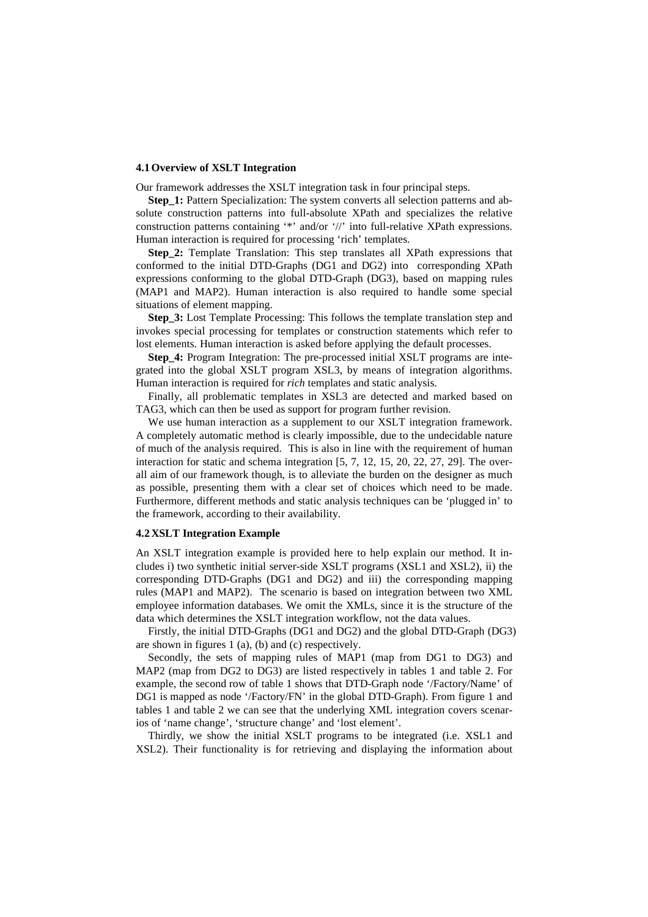#### **4.1 Overview of XSLT Integration**

Our framework addresses the XSLT integration task in four principal steps.

**Step\_1:** Pattern Specialization: The system converts all selection patterns and absolute construction patterns into full-absolute XPath and specializes the relative construction patterns containing '\*' and/or '//' into full-relative XPath expressions. Human interaction is required for processing 'rich' templates.

**Step\_2:** Template Translation: This step translates all XPath expressions that conformed to the initial DTD-Graphs (DG1 and DG2) into corresponding XPath expressions conforming to the global DTD-Graph (DG3), based on mapping rules (MAP1 and MAP2). Human interaction is also required to handle some special situations of element mapping.

**Step 3:** Lost Template Processing: This follows the template translation step and invokes special processing for templates or construction statements which refer to lost elements. Human interaction is asked before applying the default processes.

**Step 4:** Program Integration: The pre-processed initial XSLT programs are integrated into the global XSLT program XSL3, by means of integration algorithms. Human interaction is required for *rich* templates and static analysis.

Finally, all problematic templates in XSL3 are detected and marked based on TAG3, which can then be used as support for program further revision.

We use human interaction as a supplement to our XSLT integration framework. A completely automatic method is clearly impossible, due to the undecidable nature of much of the analysis required. This is also in line with the requirement of human interaction for static and schema integration [5, 7, 12, 15, 20, 22, 27, 29]. The overall aim of our framework though, is to alleviate the burden on the designer as much as possible, presenting them with a clear set of choices which need to be made. Furthermore, different methods and static analysis techniques can be 'plugged in' to the framework, according to their availability.

#### **4.2 XSLT Integration Example**

An XSLT integration example is provided here to help explain our method. It includes i) two synthetic initial server-side XSLT programs (XSL1 and XSL2), ii) the corresponding DTD-Graphs (DG1 and DG2) and iii) the corresponding mapping rules (MAP1 and MAP2). The scenario is based on integration between two XML employee information databases. We omit the XMLs, since it is the structure of the data which determines the XSLT integration workflow, not the data values.

Firstly, the initial DTD-Graphs (DG1 and DG2) and the global DTD-Graph (DG3) are shown in figures 1 (a), (b) and (c) respectively.

Secondly, the sets of mapping rules of MAP1 (map from DG1 to DG3) and MAP2 (map from DG2 to DG3) are listed respectively in tables 1 and table 2. For example, the second row of table 1 shows that DTD-Graph node '/Factory/Name' of DG1 is mapped as node '/Factory/FN' in the global DTD-Graph). From figure 1 and tables 1 and table 2 we can see that the underlying XML integration covers scenarios of 'name change', 'structure change' and 'lost element'.

Thirdly, we show the initial XSLT programs to be integrated (i.e. XSL1 and XSL2). Their functionality is for retrieving and displaying the information about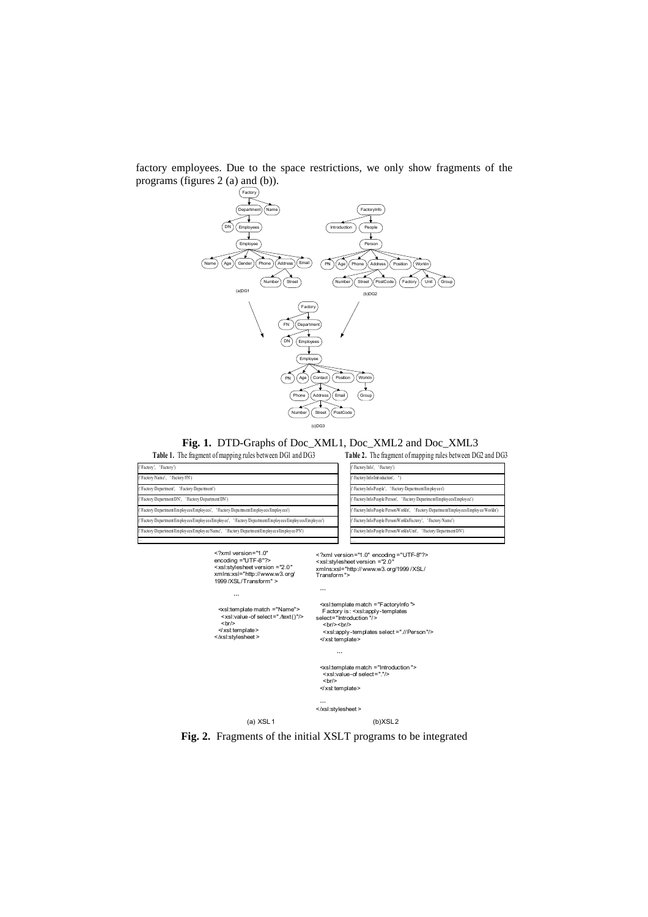

factory employees. Due to the space restrictions, we only show fragments of the programs (figures 2 (a) and (b)).

**Fig. 1.** DTD-Graphs of Doc\_XML1, Doc\_XML2 and Doc\_XML3

|                                                                                                           | <b>Table 1.</b> The fragment of mapping rules between DGI and DG3                                                                                                                                                                                                                                    |                                                                                                           | <b>Table 2.</b> The fragment of mapping rules between DG2 and DG3                                                                                                                                                           |
|-----------------------------------------------------------------------------------------------------------|------------------------------------------------------------------------------------------------------------------------------------------------------------------------------------------------------------------------------------------------------------------------------------------------------|-----------------------------------------------------------------------------------------------------------|-----------------------------------------------------------------------------------------------------------------------------------------------------------------------------------------------------------------------------|
| ('Factory', 'Factory')                                                                                    |                                                                                                                                                                                                                                                                                                      |                                                                                                           | /FactoryInfo'. '/Factory')                                                                                                                                                                                                  |
| ('Factory/Name', '/Factory/FN')                                                                           |                                                                                                                                                                                                                                                                                                      |                                                                                                           | /FactoryInfo/Introduction', ")                                                                                                                                                                                              |
| ('Factory/Department', 'Factory/Department')                                                              |                                                                                                                                                                                                                                                                                                      |                                                                                                           | /Factory Info/People', '/Factory/Department/Employees')                                                                                                                                                                     |
| ('Factory DepartmentDN'. 'Factory Department/DN')                                                         |                                                                                                                                                                                                                                                                                                      |                                                                                                           | /FactoryInfo/People/Person'. '/Factory/Department/Employees/Employee')                                                                                                                                                      |
| ('Factory Department/Employ ees/Employees', '/Factory/Department/Employees/Employees')                    |                                                                                                                                                                                                                                                                                                      |                                                                                                           | /Factory Info/People/Person/WorkIn', '/Factory/Department/Employees/Employee/WorkIn')                                                                                                                                       |
| ('Factory Department/Employ ees/Employ ees/Employee', '/Factory/Department/Employees/Employees/Employee') |                                                                                                                                                                                                                                                                                                      |                                                                                                           | /Factory Info/People/Person/WorkIn/Factory', '/Factory/Name')                                                                                                                                                               |
| ('Factory/Department/Employees/Employee/Name', '/Factory/Department/Employees/Employee/PN')               |                                                                                                                                                                                                                                                                                                      |                                                                                                           | /Factory Info/People/Person/WorkIn/Unif. '/Factory/Department/DN')                                                                                                                                                          |
|                                                                                                           |                                                                                                                                                                                                                                                                                                      |                                                                                                           |                                                                                                                                                                                                                             |
|                                                                                                           | <xsl:stvlesheet <br="" version="2.0">xmlns:xsl="http://www.w3.org/<br/>1999 / XSL / Transform" &gt;<br/><br/><xsl:template match="Name"><br/><xsl:value-of select="./text()"></xsl:value-of><br/><math>str/&gt;=</math><br/><math>\le</math> xsl: template &gt;<br/></xsl:template></xsl:stvlesheet> | Transform"><br><br>select="Introduction"/><br>$\text{Br/s}\text{ch}/\text{Br/s}$<br>$\le$ xsl: template > | xmlns:xsl="http://www.w3.org/1999/XSL/<br><xsl:template match="FactoryInfo"><br/>Factory is: <xsl:apply-templates<br><xsl:apply-templates select=".//Person"></xsl:apply-templates></xsl:apply-templates<br></xsl:template> |
|                                                                                                           |                                                                                                                                                                                                                                                                                                      | $\cdots$<br><br>thr/><br>$\le$ xsl: template >                                                            | <xsl:template match="Introduction"><br/><xsl:value-of select="."></xsl:value-of></xsl:template>                                                                                                                             |

… </xsl:stylesheet >

(a) XSL1

(b)XSL2

**Fig. 2.** Fragments of the initial XSLT programs to be integrated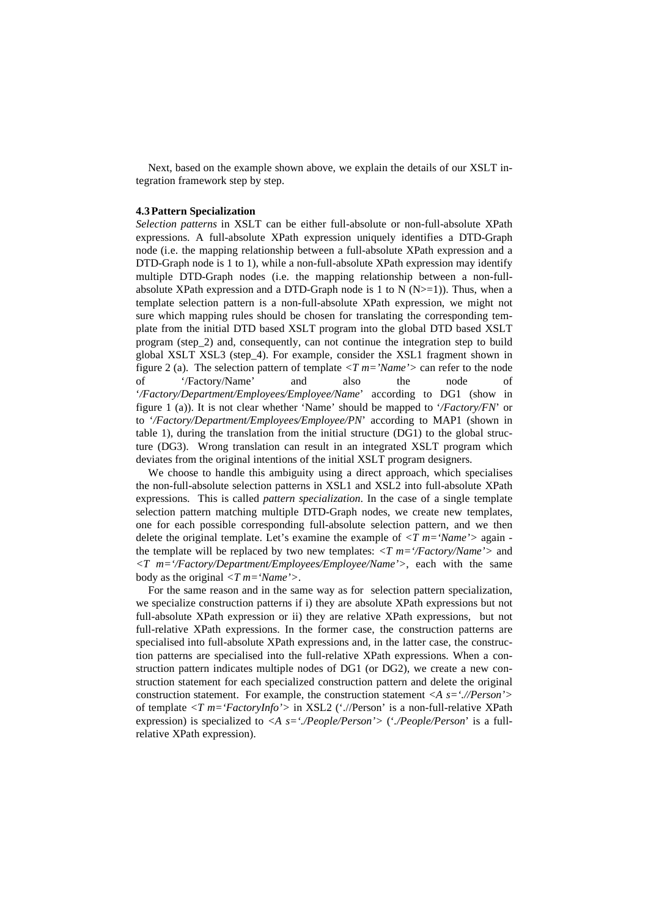Next, based on the example shown above, we explain the details of our XSLT integration framework step by step.

#### **4.3 Pattern Specialization**

*Selection patterns* in XSLT can be either full-absolute or non-full-absolute XPath expressions. A full-absolute XPath expression uniquely identifies a DTD-Graph node (i.e. the mapping relationship between a full-absolute XPath expression and a DTD-Graph node is 1 to 1), while a non-full-absolute XPath expression may identify multiple DTD-Graph nodes (i.e. the mapping relationship between a non-fullabsolute XPath expression and a DTD-Graph node is 1 to N  $(N>=1)$ ). Thus, when a template selection pattern is a non-full-absolute XPath expression, we might not sure which mapping rules should be chosen for translating the corresponding template from the initial DTD based XSLT program into the global DTD based XSLT program (step\_2) and, consequently, can not continue the integration step to build global XSLT XSL3 (step\_4). For example, consider the XSL1 fragment shown in figure 2 (a). The selection pattern of template  $\langle T m = 'Name' \rangle$  can refer to the node of '/Factory/Name' and also the node of '*/Factory/Department/Employees/Employee/Name*' according to DG1 (show in figure 1 (a)). It is not clear whether 'Name' should be mapped to '*/Factory/FN*' or to '*/Factory/Department/Employees/Employee/PN*' according to MAP1 (shown in table 1), during the translation from the initial structure (DG1) to the global structure (DG3). Wrong translation can result in an integrated XSLT program which deviates from the original intentions of the initial XSLT program designers.

We choose to handle this ambiguity using a direct approach, which specialises the non-full-absolute selection patterns in XSL1 and XSL2 into full-absolute XPath expressions. This is called *pattern specialization*. In the case of a single template selection pattern matching multiple DTD-Graph nodes, we create new templates, one for each possible corresponding full-absolute selection pattern, and we then delete the original template. Let's examine the example of  $\langle T m = 'Name' \rangle$  again the template will be replaced by two new templates: *<T m='/Factory/Name'>* and *<T m='/Factory/Department/Employees/Employee/Name'>*, each with the same body as the original *<T m='Name'>*.

For the same reason and in the same way as for selection pattern specialization, we specialize construction patterns if i) they are absolute XPath expressions but not full-absolute XPath expression or ii) they are relative XPath expressions, but not full-relative XPath expressions. In the former case, the construction patterns are specialised into full-absolute XPath expressions and, in the latter case, the construction patterns are specialised into the full-relative XPath expressions. When a construction pattern indicates multiple nodes of DG1 (or DG2), we create a new construction statement for each specialized construction pattern and delete the original construction statement. For example, the construction statement *<A s='.//Person'>*  of template *<T m='FactoryInfo'>* in XSL2 ('.//Person' is a non-full-relative XPath expression) is specialized to *<A s='./People/Person'>* ('*./People/Person*' is a fullrelative XPath expression).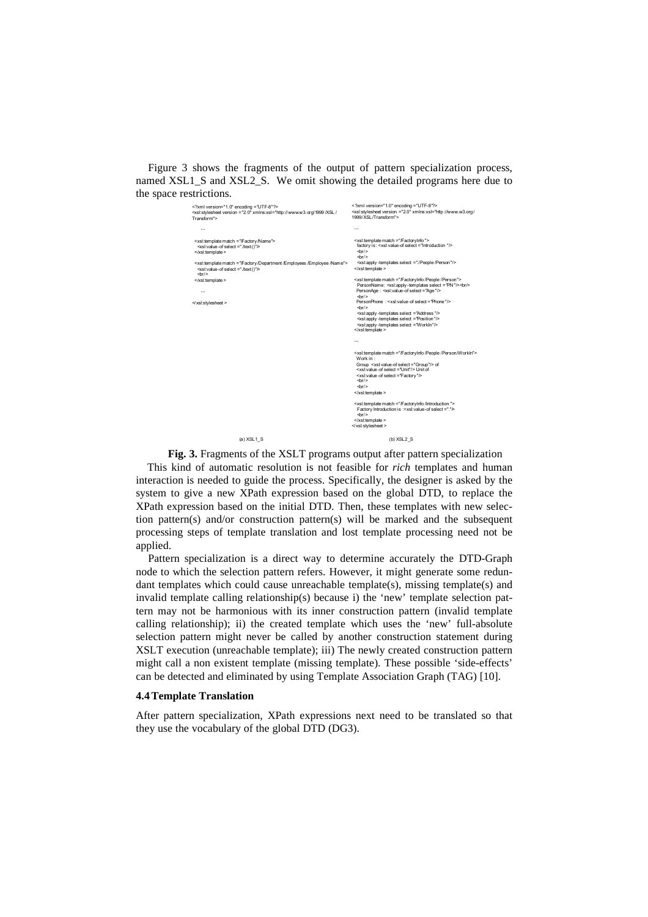Figure 3 shows the fragments of the output of pattern specialization process, named XSL1\_S and XSL2\_S. We omit showing the detailed programs here due to the space restrictions.

| xml version="1.0" encoding ="UTF-8"?                                                                                                                                                                                                                                                                   | xml version="1.0" encoding ="UTF-8"?                                                                                                                                                                                                                                                                                                                                                                                                                                                                    |
|--------------------------------------------------------------------------------------------------------------------------------------------------------------------------------------------------------------------------------------------------------------------------------------------------------|---------------------------------------------------------------------------------------------------------------------------------------------------------------------------------------------------------------------------------------------------------------------------------------------------------------------------------------------------------------------------------------------------------------------------------------------------------------------------------------------------------|
| <xsl:stylesheet version="2.0" xmlns:xsl="http://www.w3.org/1999 /XSL /&lt;br&gt;Transform"></xsl:stylesheet>                                                                                                                                                                                           | <xsl:stylesheet version="2.0" xmlns:xsl="http://www.w3.org/&lt;br&gt;1999/XSI /Transform"></xsl:stylesheet>                                                                                                                                                                                                                                                                                                                                                                                             |
| $\cdots$                                                                                                                                                                                                                                                                                               | $\cdots$                                                                                                                                                                                                                                                                                                                                                                                                                                                                                                |
| <xsl:template match="/Factory/Name"><br/><xsl:value-of select="./text()"><br/></xsl:value-of></xsl:template><br><xsl:template match="/Factory/Department /Employees /Employee /Name"><br/><xsl:value-of select="./text()"><br/><math>&lt;</math>hr/&gt;<br/></xsl:value-of></xsl:template><br>$\cdots$ | <xsl:template match="/FactoryInfo"><br/>factory is: <xsl: select="Introduction " value-of=""></xsl:><br/><math>\text{dr/s}</math><br/><math>\frac{1}{2}</math><br/><xsl:apply -templates="" select="/People/Person"></xsl:apply><br/></xsl:template><br><xsl:template match="/FactoryInfo /People /Person"><br/>PersonName: <xsl:apply-templates select="PN"></xsl:apply-templates><br/> <br/>br/&gt;<br/>PersonAge: &lt; xsl:value-of select = "Age "/&gt;<br/><math>\frac{1}{2}</math></xsl:template> |
|                                                                                                                                                                                                                                                                                                        | PersonPhone: <xsl select="Phone" value-of=""></xsl><br>$\text{dr/s}$<br><xsl:apply-templates select="Address"></xsl:apply-templates><br><xsl:apply-templates select="Position"></xsl:apply-templates><br><xsl:apply-templates select="Workin"></xsl:apply-templates><br><br>$\cdots$                                                                                                                                                                                                                    |
|                                                                                                                                                                                                                                                                                                        | <xsl:template match="/FactoryInfo /People /Person/WorkIn"><br/>Work in:<br/>Group <xsl: select="Group" value-of=""></xsl:> of<br/><xsl -of="" select="Unit" value=""></xsl> Unit of<br/><xsl:value-of select="Factory"></xsl:value-of><br/><math>-</math>br/&gt;<br/><math>\text{dr/s}</math><br/></xsl:template>                                                                                                                                                                                       |
|                                                                                                                                                                                                                                                                                                        | <xsl:template match="/FactoryInfo/Introduction"><br/>Factory Introduction is :<xsl:value-of select="."><br/><math>\text{dr/s}</math><br/></xsl:value-of></xsl:template><br>                                                                                                                                                                                                                                                                                                                             |
| $(a)$ XSL1 S                                                                                                                                                                                                                                                                                           | $(b)$ XSL2 S                                                                                                                                                                                                                                                                                                                                                                                                                                                                                            |

**Fig. 3.** Fragments of the XSLT programs output after pattern specialization This kind of automatic resolution is not feasible for *rich* templates and human interaction is needed to guide the process. Specifically, the designer is asked by the system to give a new XPath expression based on the global DTD, to replace the XPath expression based on the initial DTD. Then, these templates with new selection pattern(s) and/or construction pattern(s) will be marked and the subsequent processing steps of template translation and lost template processing need not be applied.

Pattern specialization is a direct way to determine accurately the DTD-Graph node to which the selection pattern refers. However, it might generate some redundant templates which could cause unreachable template(s), missing template(s) and invalid template calling relationship(s) because i) the 'new' template selection pattern may not be harmonious with its inner construction pattern (invalid template calling relationship); ii) the created template which uses the 'new' full-absolute selection pattern might never be called by another construction statement during XSLT execution (unreachable template); iii) The newly created construction pattern might call a non existent template (missing template). These possible 'side-effects' can be detected and eliminated by using Template Association Graph (TAG) [10].

#### **4.4 Template Translation**

After pattern specialization, XPath expressions next need to be translated so that they use the vocabulary of the global DTD (DG3).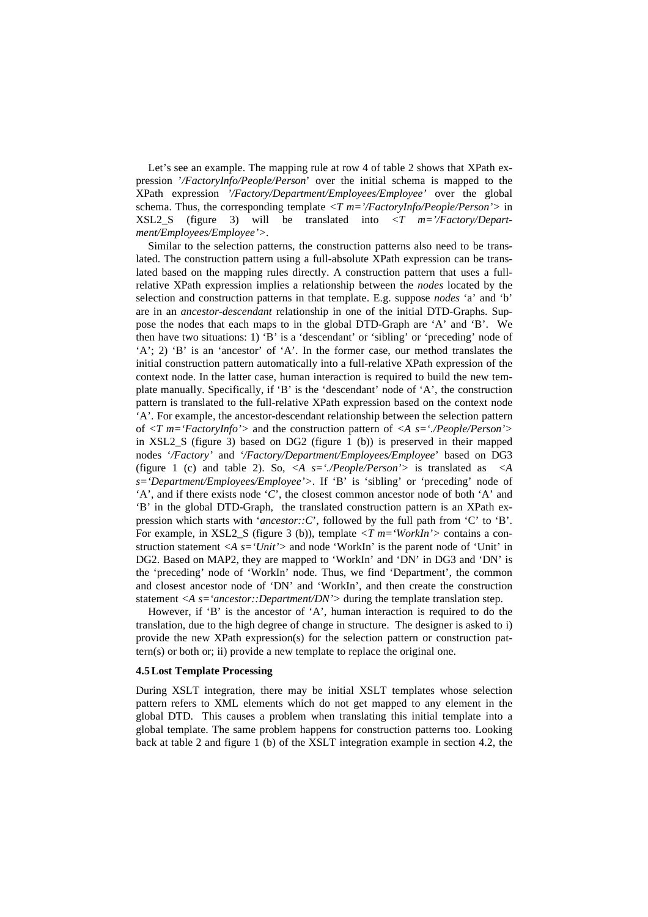Let's see an example. The mapping rule at row 4 of table 2 shows that XPath expression '*/FactoryInfo/People/Person*' over the initial schema is mapped to the XPath expression *'/Factory/Department/Employees/Employee'* over the global schema. Thus, the corresponding template *<T m='/FactoryInfo/People/Person'>* in XSL2\_S (figure 3) will be translated into *<T m='/Factory/Department/Employees/Employee'>*.

Similar to the selection patterns, the construction patterns also need to be translated. The construction pattern using a full-absolute XPath expression can be translated based on the mapping rules directly. A construction pattern that uses a fullrelative XPath expression implies a relationship between the *nodes* located by the selection and construction patterns in that template. E.g. suppose *nodes* 'a' and 'b' are in an *ancestor-descendant* relationship in one of the initial DTD-Graphs. Suppose the nodes that each maps to in the global DTD-Graph are 'A' and 'B'. We then have two situations: 1) 'B' is a 'descendant' or 'sibling' or 'preceding' node of 'A'; 2) 'B' is an 'ancestor' of 'A'. In the former case, our method translates the initial construction pattern automatically into a full-relative XPath expression of the context node. In the latter case, human interaction is required to build the new template manually. Specifically, if 'B' is the 'descendant' node of 'A', the construction pattern is translated to the full-relative XPath expression based on the context node 'A'. For example, the ancestor-descendant relationship between the selection pattern of *<T m='FactoryInfo'>* and the construction pattern of *<A s='./People/Person'>* in XSL2\_S (figure 3) based on DG2 (figure 1 (b)) is preserved in their mapped nodes '*/Factory'* and *'/Factory/Department/Employees/Employee*' based on DG3 (figure 1 (c) and table 2). So,  $\langle A \rangle$  s='./People/Person'> is translated as  $\langle A \rangle$ *s='Department/Employees/Employee'>*. If 'B' is 'sibling' or 'preceding' node of 'A', and if there exists node '*C*', the closest common ancestor node of both 'A' and 'B' in the global DTD-Graph, the translated construction pattern is an XPath expression which starts with '*ancestor::C*', followed by the full path from 'C' to 'B'. For example, in XSL2\_S (figure 3 (b)), template *<T m='WorkIn'>* contains a construction statement  $\langle A \rangle$  s= 'Unit' and node 'WorkIn' is the parent node of 'Unit' in DG2. Based on MAP2, they are mapped to 'WorkIn' and 'DN' in DG3 and 'DN' is the 'preceding' node of 'WorkIn' node. Thus, we find 'Department', the common and closest ancestor node of 'DN' and 'WorkIn', and then create the construction statement <*A* s='*ancestor*::*Department/DN*'> during the template translation step.

However, if 'B' is the ancestor of 'A', human interaction is required to do the translation, due to the high degree of change in structure. The designer is asked to i) provide the new XPath expression(s) for the selection pattern or construction pattern(s) or both or; ii) provide a new template to replace the original one.

#### **4.5 Lost Template Processing**

During XSLT integration, there may be initial XSLT templates whose selection pattern refers to XML elements which do not get mapped to any element in the global DTD. This causes a problem when translating this initial template into a global template. The same problem happens for construction patterns too. Looking back at table 2 and figure 1 (b) of the XSLT integration example in section 4.2, the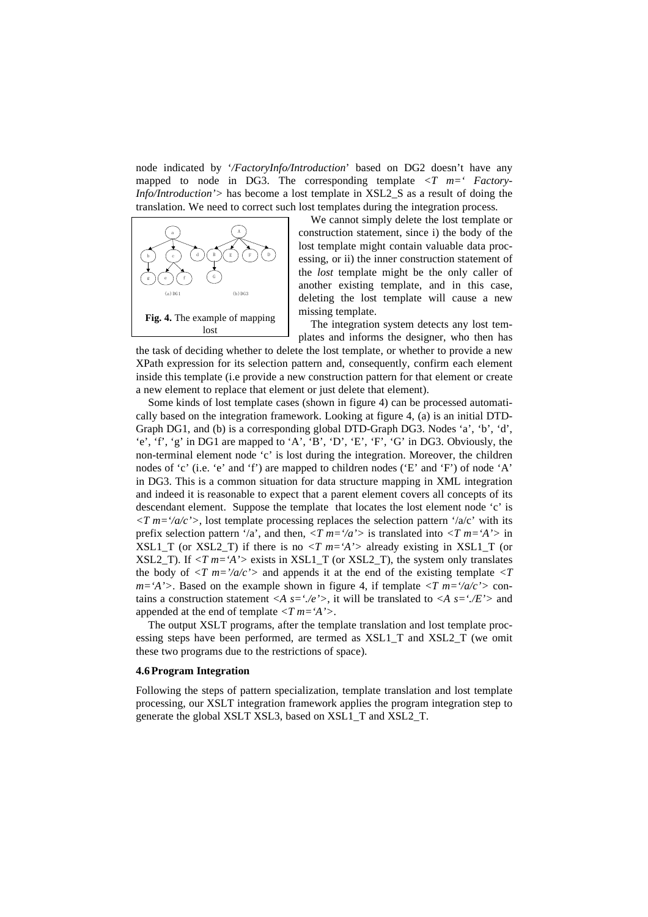node indicated by '*/FactoryInfo/Introduction*' based on DG2 doesn't have any mapped to node in DG3. The corresponding template *<T m=' Factory-Info/Introduction'>* has become a lost template in XSL2\_S as a result of doing the translation. We need to correct such lost templates during the integration process.



We cannot simply delete the lost template or construction statement, since i) the body of the lost template might contain valuable data processing, or ii) the inner construction statement of the *lost* template might be the only caller of another existing template, and in this case, deleting the lost template will cause a new missing template.

The integration system detects any lost templates and informs the designer, who then has

the task of deciding whether to delete the lost template, or whether to provide a new XPath expression for its selection pattern and, consequently, confirm each element inside this template (i.e provide a new construction pattern for that element or create a new element to replace that element or just delete that element).

Some kinds of lost template cases (shown in figure 4) can be processed automatically based on the integration framework. Looking at figure 4, (a) is an initial DTD-Graph DG1, and (b) is a corresponding global DTD-Graph DG3. Nodes 'a', 'b', 'd', 'e', 'f', 'g' in DG1 are mapped to 'A', 'B', 'D', 'E', 'F', 'G' in DG3. Obviously, the non-terminal element node 'c' is lost during the integration. Moreover, the children nodes of 'c' (i.e. 'e' and 'f') are mapped to children nodes ('E' and 'F') of node 'A' in DG3. This is a common situation for data structure mapping in XML integration and indeed it is reasonable to expect that a parent element covers all concepts of its descendant element. Suppose the template that locates the lost element node 'c' is  $\langle T m = 'a/c' \rangle$ , lost template processing replaces the selection pattern '/a/c' with its prefix selection pattern '/a', and then,  $\langle T m = \langle a' \rangle$  is translated into  $\langle T m = \langle A' \rangle$  in XSL1 T (or XSL2 T) if there is no  $\langle T m = \langle A' \rangle$  already existing in XSL1 T (or XSL2\_T). If  $\langle T m = 'A' \rangle$  exists in XSL1\_T (or XSL2\_T), the system only translates the body of  $\langle T \rangle$  m='/a/c' in and appends it at the end of the existing template  $\langle T \rangle$  $m=4'$ . Based on the example shown in figure 4, if template  $\langle T m=2/a'c' \rangle$  contains a construction statement  $\langle A \rangle s = \langle e' \rangle$ , it will be translated to  $\langle A \rangle s = \langle e' \rangle$  and appended at the end of template *<T m='A'>*.

The output XSLT programs, after the template translation and lost template processing steps have been performed, are termed as XSL1 T and XSL2 T (we omit these two programs due to the restrictions of space).

#### **4.6 Program Integration**

Following the steps of pattern specialization, template translation and lost template processing, our XSLT integration framework applies the program integration step to generate the global XSLT XSL3, based on XSL1\_T and XSL2\_T.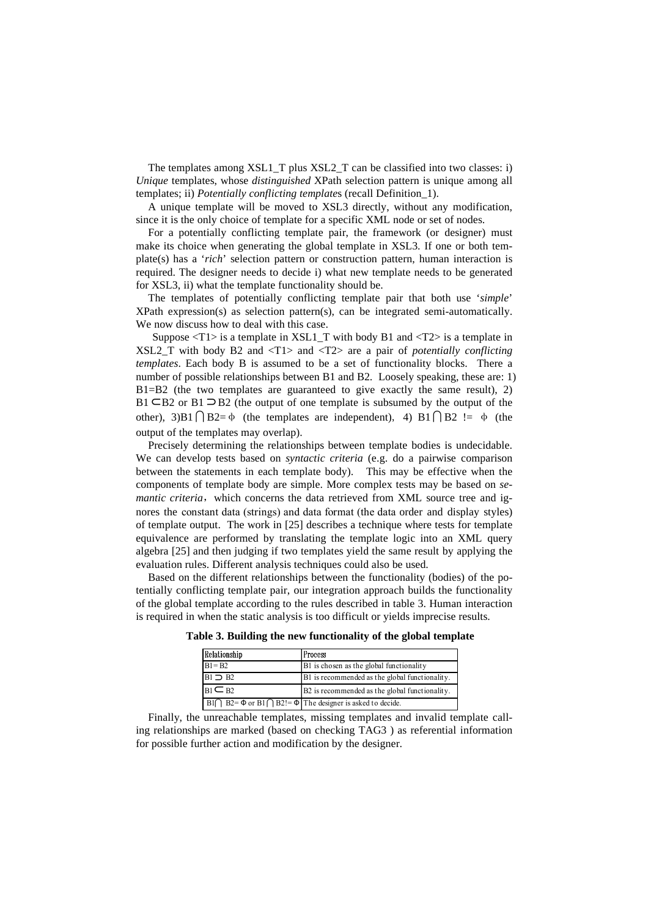The templates among XSL1  $T$  plus XSL2  $T$  can be classified into two classes: i) *Unique* templates, whose *distinguished* XPath selection pattern is unique among all templates; ii) *Potentially conflicting template*s (recall Definition\_1).

A unique template will be moved to XSL3 directly, without any modification, since it is the only choice of template for a specific XML node or set of nodes.

For a potentially conflicting template pair, the framework (or designer) must make its choice when generating the global template in XSL3. If one or both template(s) has a '*rich*' selection pattern or construction pattern, human interaction is required. The designer needs to decide i) what new template needs to be generated for XSL3, ii) what the template functionality should be.

The templates of potentially conflicting template pair that both use '*simple*' XPath expression(s) as selection pattern(s), can be integrated semi-automatically. We now discuss how to deal with this case.

Suppose  $\langle T1 \rangle$  is a template in XSL1\_T with body B1 and  $\langle T2 \rangle$  is a template in XSL2\_T with body B2 and <T1> and <T2> are a pair of *potentially conflicting templates*. Each body B is assumed to be a set of functionality blocks. There a number of possible relationships between B1 and B2. Loosely speaking, these are: 1) B1=B2 (the two templates are guaranteed to give exactly the same result), 2) B1⊂B2 or B1 ⊃ B2 (the output of one template is subsumed by the output of the other),  $3\overline{)B1 \cap B2} = \phi$  (the templates are independent), 4)  $\overline{B1 \cap B2}$  !=  $\phi$  (the output of the templates may overlap).

Precisely determining the relationships between template bodies is undecidable. We can develop tests based on *syntactic criteria* (e.g. do a pairwise comparison between the statements in each template body). This may be effective when the components of template body are simple. More complex tests may be based on *semantic criteria*, which concerns the data retrieved from XML source tree and ignores the constant data (strings) and data format (the data order and display styles) of template output. The work in [25] describes a technique where tests for template equivalence are performed by translating the template logic into an XML query algebra [25] and then judging if two templates yield the same result by applying the evaluation rules. Different analysis techniques could also be used.

Based on the different relationships between the functionality (bodies) of the potentially conflicting template pair, our integration approach builds the functionality of the global template according to the rules described in table 3. Human interaction is required in when the static analysis is too difficult or yields imprecise results.

| Relationship    | Process                                                                      |
|-----------------|------------------------------------------------------------------------------|
| $B1 = B2$       | B1 is chosen as the global functionality                                     |
| $B1 \supset B2$ | B1 is recommended as the global functionality.                               |
| $BI \subset B2$ | B2 is recommended as the global functionality.                               |
|                 | $B1 \cap B2 = \Phi$ or $B1 \cap B2! = \Phi$ The designer is asked to decide. |

**Table 3. Building the new functionality of the global template** 

Finally, the unreachable templates, missing templates and invalid template calling relationships are marked (based on checking TAG3 ) as referential information for possible further action and modification by the designer.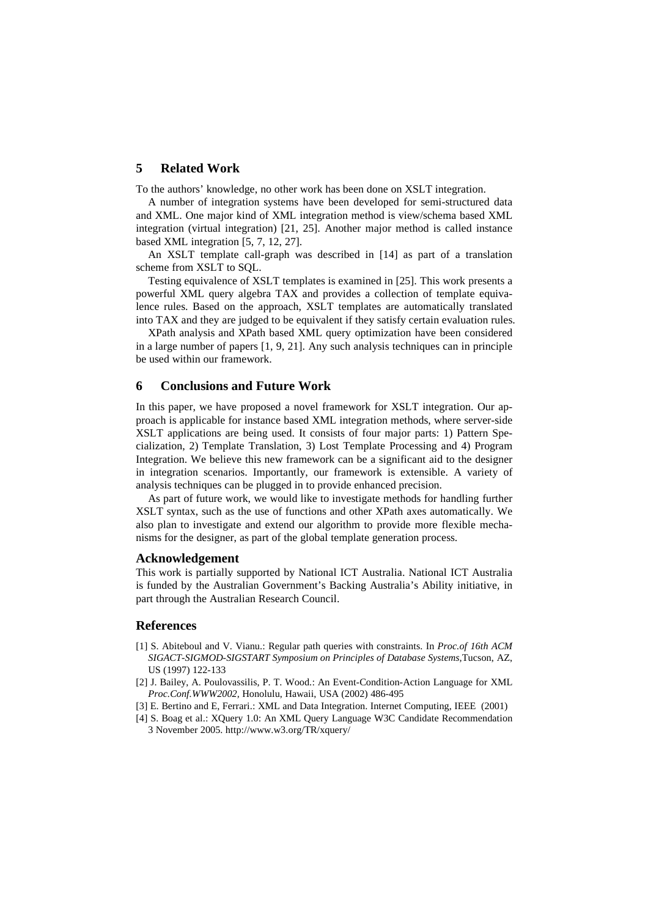# **5 Related Work**

To the authors' knowledge, no other work has been done on XSLT integration.

A number of integration systems have been developed for semi-structured data and XML. One major kind of XML integration method is view/schema based XML integration (virtual integration) [21, 25]. Another major method is called instance based XML integration [5, 7, 12, 27].

An XSLT template call-graph was described in [14] as part of a translation scheme from XSLT to SQL.

Testing equivalence of XSLT templates is examined in [25]. This work presents a powerful XML query algebra TAX and provides a collection of template equivalence rules. Based on the approach, XSLT templates are automatically translated into TAX and they are judged to be equivalent if they satisfy certain evaluation rules.

XPath analysis and XPath based XML query optimization have been considered in a large number of papers [1, 9, 21]. Any such analysis techniques can in principle be used within our framework.

### **6 Conclusions and Future Work**

In this paper, we have proposed a novel framework for XSLT integration. Our approach is applicable for instance based XML integration methods, where server-side XSLT applications are being used. It consists of four major parts: 1) Pattern Specialization, 2) Template Translation, 3) Lost Template Processing and 4) Program Integration. We believe this new framework can be a significant aid to the designer in integration scenarios. Importantly, our framework is extensible. A variety of analysis techniques can be plugged in to provide enhanced precision.

As part of future work, we would like to investigate methods for handling further XSLT syntax, such as the use of functions and other XPath axes automatically. We also plan to investigate and extend our algorithm to provide more flexible mechanisms for the designer, as part of the global template generation process.

#### **Acknowledgement**

This work is partially supported by National ICT Australia. National ICT Australia is funded by the Australian Government's Backing Australia's Ability initiative, in part through the Australian Research Council.

### **References**

- [1] S. Abiteboul and V. Vianu.: Regular path queries with constraints. In *Proc.of 16th ACM SIGACT-SIGMOD-SIGSTART Symposium on Principles of Database Systems,*Tucson, AZ, US (1997) 122-133
- [2] J. Bailey, A. Poulovassilis, P. T. Wood.: An Event-Condition-Action Language for XML *Proc.Conf.WWW2002,* Honolulu, Hawaii, USA (2002) 486-495
- [3] E. Bertino and E, Ferrari.: XML and Data Integration. Internet Computing, IEEE (2001)
- [4] S. Boag et al.: XQuery 1.0: An XML Query Language W3C Candidate Recommendation 3 November 2005. http://www.w3.org/TR/xquery/